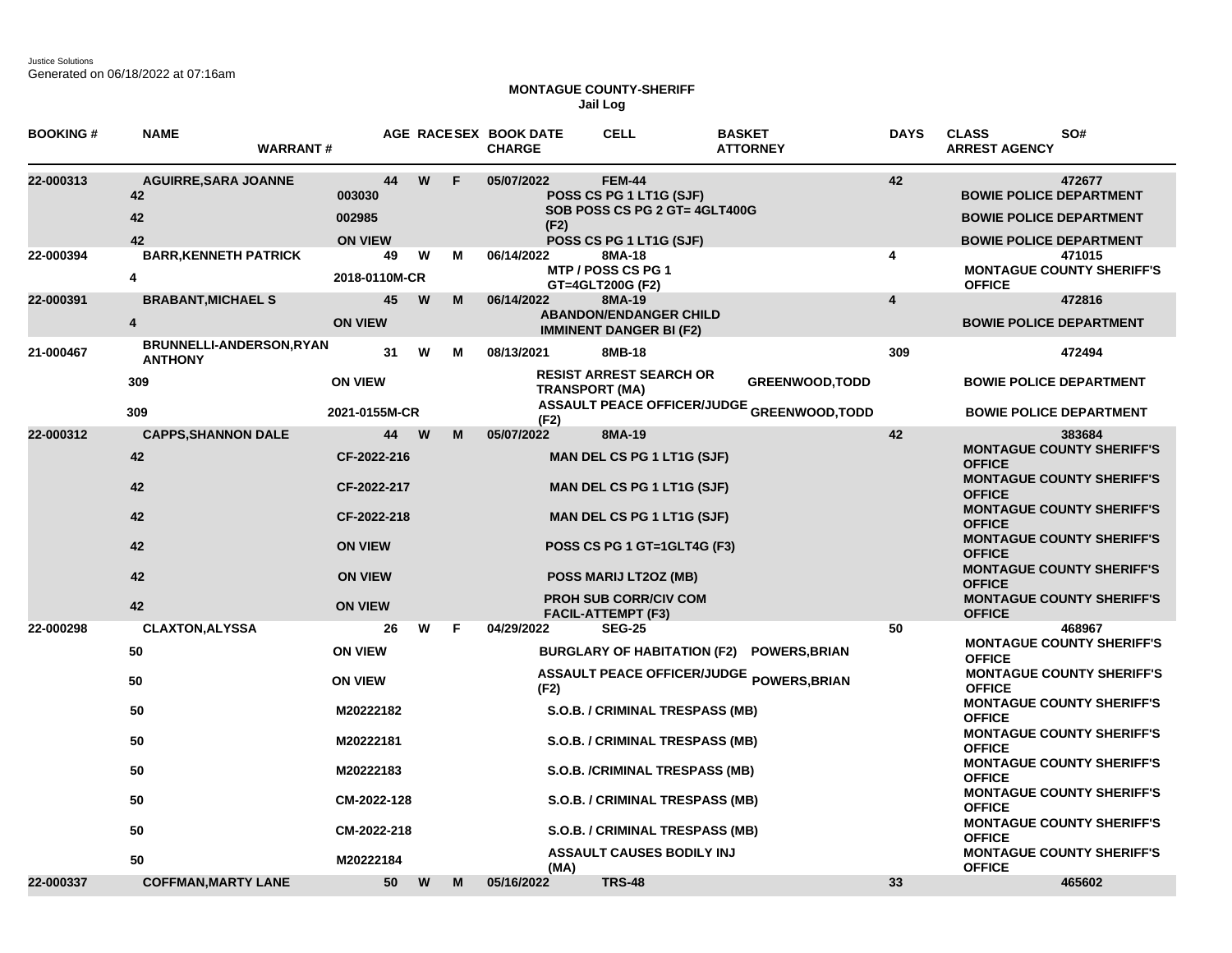Justice Solutions Generated on 06/18/2022 at 07:16am

## **MONTAGUE COUNTY-SHERIFF Jail Log**

| <b>BOOKING#</b> | <b>NAME</b><br><b>WARRANT#</b>                           |                                          |        | AGE RACESEX BOOK DATE<br><b>CHARGE</b> | <b>CELL</b>                                                                                          | <b>BASKET</b><br><b>ATTORNEY</b>           | <b>DAYS</b>             | <b>CLASS</b><br>SO#<br><b>ARREST AGENCY</b>                                                                  |
|-----------------|----------------------------------------------------------|------------------------------------------|--------|----------------------------------------|------------------------------------------------------------------------------------------------------|--------------------------------------------|-------------------------|--------------------------------------------------------------------------------------------------------------|
| 22-000313       | <b>AGUIRRE, SARA JOANNE</b><br>42<br>42<br>42            | 44<br>003030<br>002985<br><b>ON VIEW</b> | W<br>F | 05/07/2022<br>(F2)                     | <b>FEM-44</b><br>POSS CS PG 1 LT1G (SJF)<br>SOB POSS CS PG 2 GT= 4GLT400G<br>POSS CS PG 1 LT1G (SJF) |                                            | 42                      | 472677<br><b>BOWIE POLICE DEPARTMENT</b><br><b>BOWIE POLICE DEPARTMENT</b><br><b>BOWIE POLICE DEPARTMENT</b> |
| 22-000394       | <b>BARR, KENNETH PATRICK</b><br>4                        | 49<br>2018-0110M-CR                      | W<br>М | 06/14/2022                             | 8MA-18<br>MTP / POSS CS PG 1<br>GT=4GLT200G (F2)                                                     |                                            | 4                       | 471015<br><b>MONTAGUE COUNTY SHERIFF'S</b><br><b>OFFICE</b>                                                  |
| 22-000391       | <b>BRABANT, MICHAEL S</b><br>4                           | 45<br><b>ON VIEW</b>                     | W<br>M | 06/14/2022                             | 8MA-19<br><b>ABANDON/ENDANGER CHILD</b><br><b>IMMINENT DANGER BI (F2)</b>                            |                                            | $\overline{\mathbf{4}}$ | 472816<br><b>BOWIE POLICE DEPARTMENT</b>                                                                     |
| 21-000467       | <b>BRUNNELLI-ANDERSON, RYAN</b><br><b>ANTHONY</b><br>309 | 31<br><b>ON VIEW</b>                     | W<br>М | 08/13/2021                             | 8MB-18<br><b>RESIST ARREST SEARCH OR</b><br><b>TRANSPORT (MA)</b>                                    | <b>GREENWOOD, TODD</b>                     | 309                     | 472494<br><b>BOWIE POLICE DEPARTMENT</b>                                                                     |
|                 | 309                                                      | 2021-0155M-CR                            |        | (F2)                                   |                                                                                                      | ASSAULT PEACE OFFICER/JUDGE GREENWOOD,TODD |                         | <b>BOWIE POLICE DEPARTMENT</b>                                                                               |
| 22-000312       | <b>CAPPS, SHANNON DALE</b><br>42                         | 44<br>CF-2022-216                        | W<br>M | 05/07/2022                             | 8MA-19<br><b>MAN DEL CS PG 1 LT1G (SJF)</b>                                                          |                                            | 42                      | 383684<br><b>MONTAGUE COUNTY SHERIFF'S</b><br><b>OFFICE</b><br><b>MONTAGUE COUNTY SHERIFF'S</b>              |
|                 | 42<br>42                                                 | CF-2022-217<br>CF-2022-218               |        |                                        | <b>MAN DEL CS PG 1 LT1G (SJF)</b><br><b>MAN DEL CS PG 1 LT1G (SJF)</b>                               |                                            |                         | <b>OFFICE</b><br><b>MONTAGUE COUNTY SHERIFF'S</b><br><b>OFFICE</b>                                           |
|                 | 42<br>42                                                 | <b>ON VIEW</b><br><b>ON VIEW</b>         |        |                                        | POSS CS PG 1 GT=1GLT4G (F3)<br>POSS MARIJ LT2OZ (MB)                                                 |                                            |                         | <b>MONTAGUE COUNTY SHERIFF'S</b><br><b>OFFICE</b><br><b>MONTAGUE COUNTY SHERIFF'S</b>                        |
|                 | 42                                                       | <b>ON VIEW</b>                           |        |                                        | <b>PROH SUB CORR/CIV COM</b><br><b>FACIL-ATTEMPT (F3)</b>                                            |                                            |                         | <b>OFFICE</b><br><b>MONTAGUE COUNTY SHERIFF'S</b><br><b>OFFICE</b>                                           |
| 22-000298       | <b>CLAXTON, ALYSSA</b><br>50                             | 26<br><b>ON VIEW</b>                     | W<br>F | 04/29/2022                             | <b>SEG-25</b><br><b>BURGLARY OF HABITATION (F2)</b>                                                  | <b>POWERS, BRIAN</b>                       | 50                      | 468967<br><b>MONTAGUE COUNTY SHERIFF'S</b><br><b>OFFICE</b>                                                  |
|                 | 50                                                       | <b>ON VIEW</b>                           |        | (F2)                                   |                                                                                                      | ASSAULT PEACE OFFICER/JUDGE POWERS, BRIAN  |                         | <b>MONTAGUE COUNTY SHERIFF'S</b><br><b>OFFICE</b><br><b>MONTAGUE COUNTY SHERIFF'S</b>                        |
|                 | 50<br>50                                                 | M20222182<br>M20222181                   |        |                                        | S.O.B. / CRIMINAL TRESPASS (MB)<br>S.O.B. / CRIMINAL TRESPASS (MB)                                   |                                            |                         | <b>OFFICE</b><br><b>MONTAGUE COUNTY SHERIFF'S</b><br><b>OFFICE</b>                                           |
|                 | 50                                                       | M20222183                                |        |                                        | S.O.B. /CRIMINAL TRESPASS (MB)                                                                       |                                            |                         | <b>MONTAGUE COUNTY SHERIFF'S</b><br><b>OFFICE</b>                                                            |
|                 | 50                                                       | CM-2022-128                              |        |                                        | S.O.B. / CRIMINAL TRESPASS (MB)                                                                      |                                            |                         | <b>MONTAGUE COUNTY SHERIFF'S</b><br><b>OFFICE</b><br><b>MONTAGUE COUNTY SHERIFF'S</b>                        |
|                 | 50<br>50                                                 | CM-2022-218<br>M20222184                 |        | (MA)                                   | S.O.B. / CRIMINAL TRESPASS (MB)<br><b>ASSAULT CAUSES BODILY INJ</b>                                  |                                            |                         | <b>OFFICE</b><br><b>MONTAGUE COUNTY SHERIFF'S</b><br><b>OFFICE</b>                                           |
| 22-000337       | <b>COFFMAN, MARTY LANE</b>                               | 50                                       | W<br>M | 05/16/2022                             | <b>TRS-48</b>                                                                                        |                                            | 33                      | 465602                                                                                                       |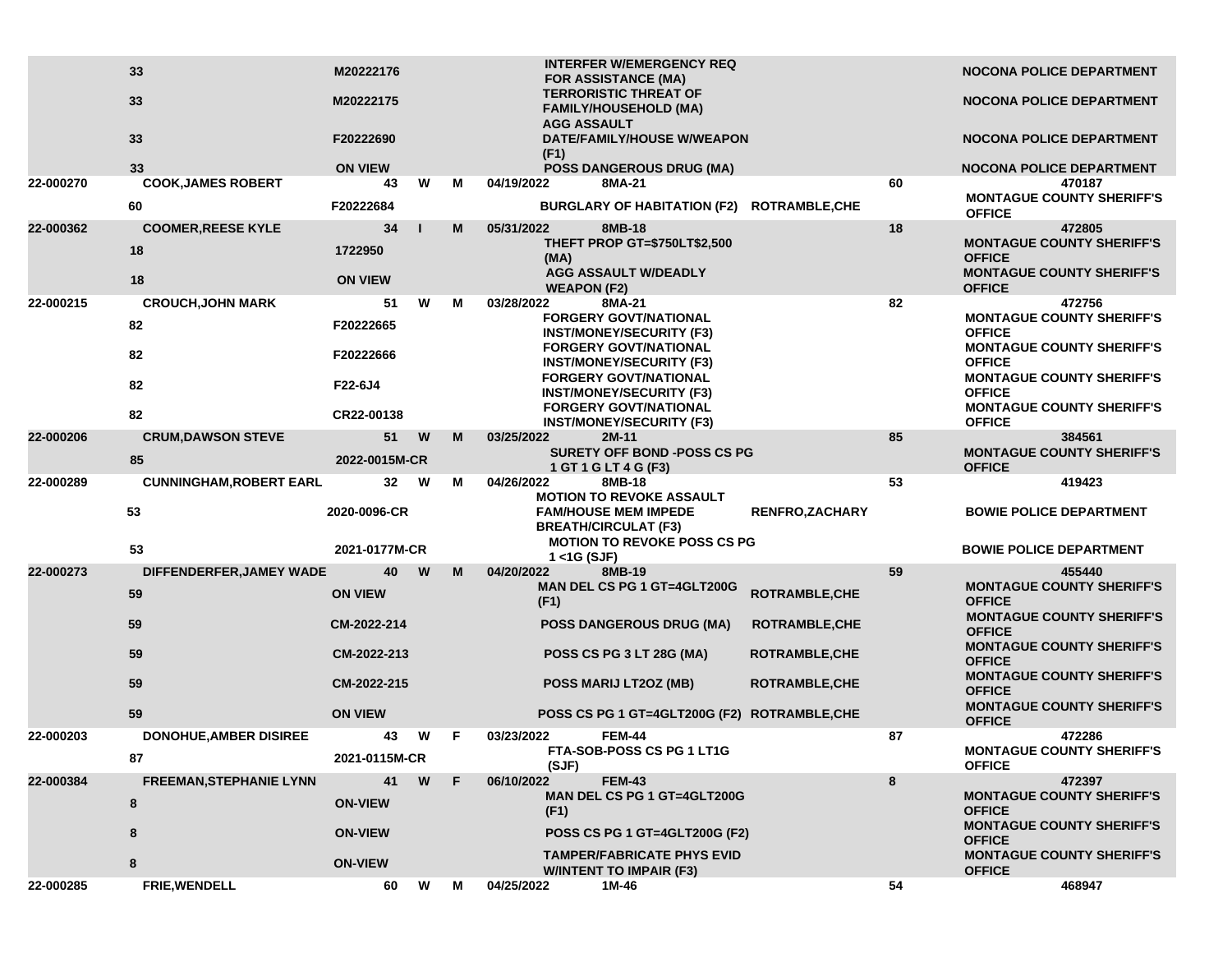|           | 33<br>33                            | M20222176<br>M20222175        |   |    | <b>INTERFER W/EMERGENCY REQ</b><br><b>FOR ASSISTANCE (MA)</b><br><b>TERRORISTIC THREAT OF</b><br><b>FAMILY/HOUSEHOLD (MA)</b><br><b>AGG ASSAULT</b> |                       |    | <b>NOCONA POLICE DEPARTMENT</b><br>NOCONA POLICE DEPARTMENT                           |
|-----------|-------------------------------------|-------------------------------|---|----|-----------------------------------------------------------------------------------------------------------------------------------------------------|-----------------------|----|---------------------------------------------------------------------------------------|
|           | 33                                  | F20222690                     |   |    | DATE/FAMILY/HOUSE W/WEAPON<br>(F1)                                                                                                                  |                       |    | <b>NOCONA POLICE DEPARTMENT</b>                                                       |
| 22-000270 | 33<br><b>COOK, JAMES ROBERT</b>     | <b>ON VIEW</b><br>43          | W | м  | <b>POSS DANGEROUS DRUG (MA)</b><br>04/19/2022<br>8MA-21                                                                                             |                       | 60 | <b>NOCONA POLICE DEPARTMENT</b><br>470187                                             |
|           | 60                                  | F20222684                     |   |    | BURGLARY OF HABITATION (F2) ROTRAMBLE, CHE                                                                                                          |                       |    | <b>MONTAGUE COUNTY SHERIFF'S</b><br><b>OFFICE</b>                                     |
| 22-000362 | <b>COOMER, REESE KYLE</b>           | 34                            |   | M  | 05/31/2022<br>8MB-18                                                                                                                                |                       | 18 | 472805                                                                                |
|           | 18                                  | 1722950                       |   |    | <b>THEFT PROP GT=\$750LT\$2,500</b><br>(MA)<br><b>AGG ASSAULT W/DEADLY</b>                                                                          |                       |    | <b>MONTAGUE COUNTY SHERIFF'S</b><br><b>OFFICE</b><br><b>MONTAGUE COUNTY SHERIFF'S</b> |
|           | 18                                  | <b>ON VIEW</b>                |   |    | <b>WEAPON (F2)</b>                                                                                                                                  |                       |    | <b>OFFICE</b>                                                                         |
| 22-000215 | <b>CROUCH, JOHN MARK</b><br>82      | 51<br>F20222665               | W | М  | 03/28/2022<br>8MA-21<br><b>FORGERY GOVT/NATIONAL</b>                                                                                                |                       | 82 | 472756<br><b>MONTAGUE COUNTY SHERIFF'S</b>                                            |
|           | 82                                  | F20222666                     |   |    | <b>INST/MONEY/SECURITY (F3)</b><br><b>FORGERY GOVT/NATIONAL</b><br><b>INST/MONEY/SECURITY (F3)</b>                                                  |                       |    | <b>OFFICE</b><br><b>MONTAGUE COUNTY SHERIFF'S</b><br><b>OFFICE</b>                    |
|           | 82                                  | F22-6J4                       |   |    | <b>FORGERY GOVT/NATIONAL</b><br><b>INST/MONEY/SECURITY (F3)</b>                                                                                     |                       |    | <b>MONTAGUE COUNTY SHERIFF'S</b><br><b>OFFICE</b>                                     |
|           | 82                                  | CR22-00138                    |   |    | <b>FORGERY GOVT/NATIONAL</b><br><b>INST/MONEY/SECURITY (F3)</b>                                                                                     |                       |    | <b>MONTAGUE COUNTY SHERIFF'S</b><br><b>OFFICE</b>                                     |
| 22-000206 | <b>CRUM, DAWSON STEVE</b>           | 51                            | W | M  | 03/25/2022<br>$2M-11$                                                                                                                               |                       | 85 | 384561                                                                                |
|           | 85                                  | 2022-0015M-CR                 |   |    | <b>SURETY OFF BOND -POSS CS PG</b><br>1 GT 1 G LT 4 G (F3)                                                                                          |                       |    | <b>MONTAGUE COUNTY SHERIFF'S</b><br><b>OFFICE</b>                                     |
| 22-000289 | <b>CUNNINGHAM, ROBERT EARL</b>      | 32                            | W | м  | 04/26/2022<br>8MB-18<br><b>MOTION TO REVOKE ASSAULT</b>                                                                                             |                       | 53 | 419423                                                                                |
|           | 53<br>53                            | 2020-0096-CR<br>2021-0177M-CR |   |    | <b>FAM/HOUSE MEM IMPEDE</b><br><b>BREATH/CIRCULAT (F3)</b><br><b>MOTION TO REVOKE POSS CS PG</b>                                                    | <b>RENFRO,ZACHARY</b> |    | <b>BOWIE POLICE DEPARTMENT</b><br><b>BOWIE POLICE DEPARTMENT</b>                      |
|           |                                     |                               |   |    | $1 <$ 1G (SJF)                                                                                                                                      |                       |    |                                                                                       |
| 22-000273 | DIFFENDERFER, JAMEY WADE<br>59      | 40<br><b>ON VIEW</b>          | W | M  | 04/20/2022<br>8MB-19<br>MAN DEL CS PG 1 GT=4GLT200G<br>(F1)                                                                                         | ROTRAMBLE, CHE        | 59 | 455440<br><b>MONTAGUE COUNTY SHERIFF'S</b><br><b>OFFICE</b>                           |
|           | 59                                  | CM-2022-214                   |   |    | <b>POSS DANGEROUS DRUG (MA)</b>                                                                                                                     | <b>ROTRAMBLE, CHE</b> |    | <b>MONTAGUE COUNTY SHERIFF'S</b><br><b>OFFICE</b>                                     |
|           | 59                                  | CM-2022-213                   |   |    | POSS CS PG 3 LT 28G (MA)                                                                                                                            | <b>ROTRAMBLE, CHE</b> |    | <b>MONTAGUE COUNTY SHERIFF'S</b><br><b>OFFICE</b><br><b>MONTAGUE COUNTY SHERIFF'S</b> |
|           | 59                                  | CM-2022-215                   |   |    | POSS MARIJ LT2OZ (MB)                                                                                                                               | <b>ROTRAMBLE,CHE</b>  |    | <b>OFFICE</b><br><b>MONTAGUE COUNTY SHERIFF'S</b>                                     |
|           | 59                                  | <b>ON VIEW</b>                |   |    | POSS CS PG 1 GT=4GLT200G (F2) ROTRAMBLE, CHE                                                                                                        |                       |    | <b>OFFICE</b>                                                                         |
| 22-000203 | <b>DONOHUE, AMBER DISIREE</b><br>87 | 43<br>2021-0115M-CR           | W | F. | 03/23/2022<br><b>FEM-44</b><br>FTA-SOB-POSS CS PG 1 LT1G                                                                                            |                       | 87 | 472286<br><b>MONTAGUE COUNTY SHERIFF'S</b>                                            |
| 22-000384 | <b>FREEMAN, STEPHANIE LYNN</b>      | 41                            | W | F. | (SJF)<br><b>FEM-43</b><br>06/10/2022                                                                                                                |                       | 8  | <b>OFFICE</b><br>472397                                                               |
|           | 8                                   | <b>ON-VIEW</b>                |   |    | <b>MAN DEL CS PG 1 GT=4GLT200G</b><br>(F1)                                                                                                          |                       |    | <b>MONTAGUE COUNTY SHERIFF'S</b><br><b>OFFICE</b>                                     |
|           | 8                                   | <b>ON-VIEW</b>                |   |    | POSS CS PG 1 GT=4GLT200G (F2)                                                                                                                       |                       |    | <b>MONTAGUE COUNTY SHERIFF'S</b><br><b>OFFICE</b>                                     |
|           | 8                                   | <b>ON-VIEW</b>                |   |    | <b>TAMPER/FABRICATE PHYS EVID</b><br><b>WINTENT TO IMPAIR (F3)</b>                                                                                  |                       |    | <b>MONTAGUE COUNTY SHERIFF'S</b><br><b>OFFICE</b>                                     |
| 22-000285 | FRIE, WENDELL                       | 60                            | W | м  | 04/25/2022<br>1M-46                                                                                                                                 |                       | 54 | 468947                                                                                |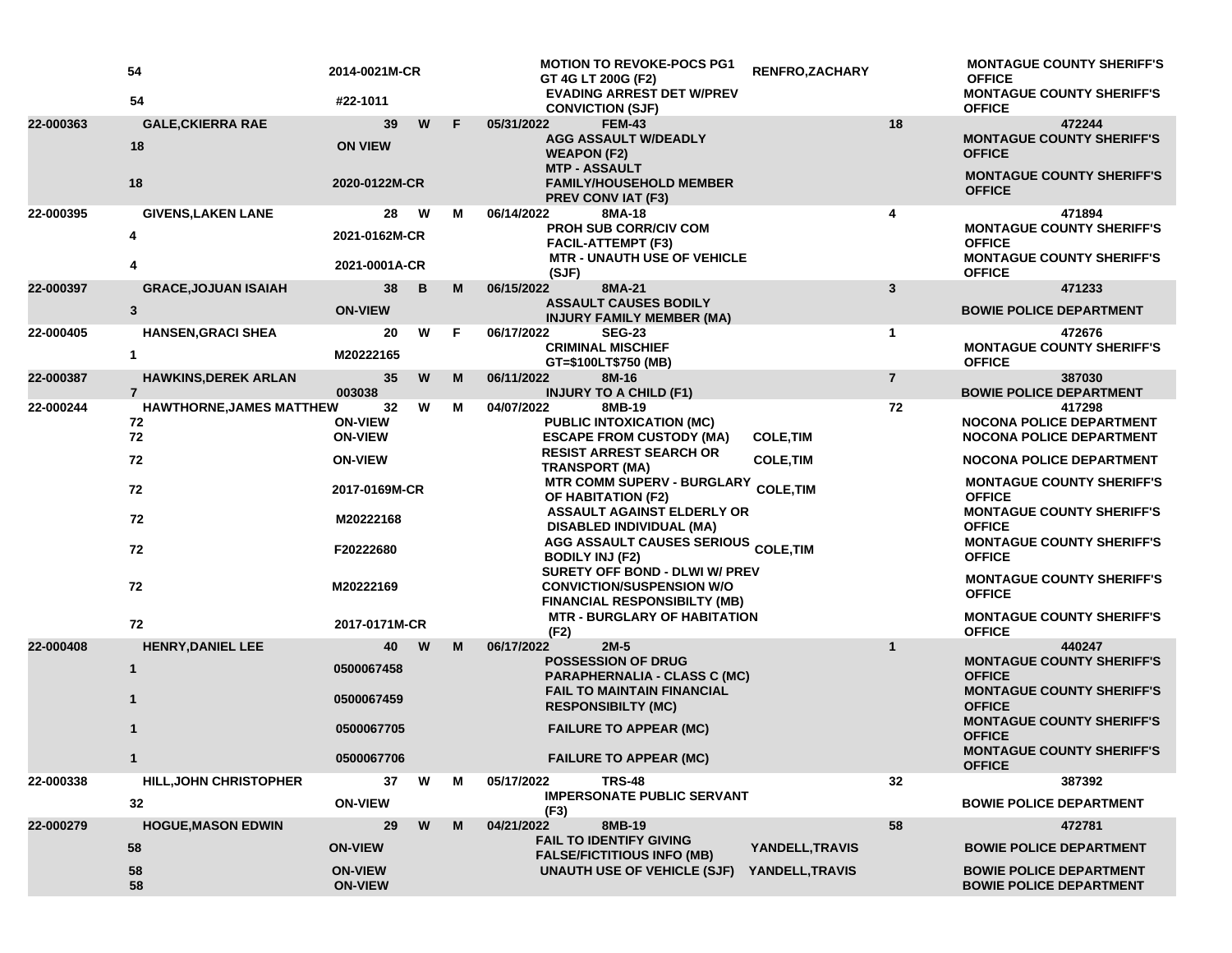|           | 54<br>54                                      | 2014-0021M-CR<br>#22-1011        |   |   | <b>MOTION TO REVOKE-POCS PG1</b><br>GT 4G LT 200G (F2)<br><b>EVADING ARREST DET W/PREV</b>               | RENFRO, ZACHARY  |                | <b>MONTAGUE COUNTY SHERIFF'S</b><br><b>OFFICE</b><br><b>MONTAGUE COUNTY SHERIFF'S</b> |
|-----------|-----------------------------------------------|----------------------------------|---|---|----------------------------------------------------------------------------------------------------------|------------------|----------------|---------------------------------------------------------------------------------------|
|           |                                               |                                  |   |   | <b>CONVICTION (SJF)</b>                                                                                  |                  |                | <b>OFFICE</b>                                                                         |
| 22-000363 | <b>GALE, CKIERRA RAE</b><br>18                | 39<br><b>ON VIEW</b>             | W | F | 05/31/2022<br><b>FEM-43</b><br><b>AGG ASSAULT W/DEADLY</b><br><b>WEAPON (F2)</b><br><b>MTP - ASSAULT</b> |                  | 18             | 472244<br><b>MONTAGUE COUNTY SHERIFF'S</b><br><b>OFFICE</b>                           |
|           | 18                                            | 2020-0122M-CR                    |   |   | <b>FAMILY/HOUSEHOLD MEMBER</b><br>PREV CONV IAT (F3)                                                     |                  |                | <b>MONTAGUE COUNTY SHERIFF'S</b><br><b>OFFICE</b>                                     |
| 22-000395 | <b>GIVENS, LAKEN LANE</b>                     | 28                               | W | м | 06/14/2022<br>8MA-18                                                                                     |                  | 4              | 471894                                                                                |
|           | 4                                             | 2021-0162M-CR                    |   |   | <b>PROH SUB CORR/CIV COM</b><br><b>FACIL-ATTEMPT (F3)</b><br><b>MTR - UNAUTH USE OF VEHICLE</b>          |                  |                | <b>MONTAGUE COUNTY SHERIFF'S</b><br><b>OFFICE</b><br><b>MONTAGUE COUNTY SHERIFF'S</b> |
|           | 4                                             | 2021-0001A-CR                    |   |   | (SJF)                                                                                                    |                  |                | <b>OFFICE</b>                                                                         |
| 22-000397 | <b>GRACE, JOJUAN ISAIAH</b>                   | 38                               | B | M | 06/15/2022<br>8MA-21                                                                                     |                  | 3              | 471233                                                                                |
|           | $\mathbf{3}$                                  | <b>ON-VIEW</b>                   |   |   | <b>ASSAULT CAUSES BODILY</b><br><b>INJURY FAMILY MEMBER (MA)</b>                                         |                  |                | <b>BOWIE POLICE DEPARTMENT</b>                                                        |
| 22-000405 | <b>HANSEN, GRACI SHEA</b>                     | 20                               | W | F | 06/17/2022<br><b>SEG-23</b>                                                                              |                  | $\mathbf 1$    | 472676                                                                                |
|           | 1                                             | M20222165                        |   |   | <b>CRIMINAL MISCHIEF</b><br>GT=\$100LT\$750 (MB)                                                         |                  |                | <b>MONTAGUE COUNTY SHERIFF'S</b><br><b>OFFICE</b>                                     |
| 22-000387 | <b>HAWKINS, DEREK ARLAN</b><br>$\overline{7}$ | 35<br>003038                     | W | M | 06/11/2022<br>8M-16<br><b>INJURY TO A CHILD (F1)</b>                                                     |                  | $\overline{7}$ | 387030<br><b>BOWIE POLICE DEPARTMENT</b>                                              |
| 22-000244 | <b>HAWTHORNE, JAMES MATTHEW</b>               | 32                               | W | М | 04/07/2022<br>8MB-19                                                                                     |                  | 72             | 417298                                                                                |
|           | 72<br>72                                      | <b>ON-VIEW</b><br><b>ON-VIEW</b> |   |   | <b>PUBLIC INTOXICATION (MC)</b><br><b>ESCAPE FROM CUSTODY (MA)</b>                                       | <b>COLE, TIM</b> |                | <b>NOCONA POLICE DEPARTMENT</b><br><b>NOCONA POLICE DEPARTMENT</b>                    |
|           | 72                                            | <b>ON-VIEW</b>                   |   |   | <b>RESIST ARREST SEARCH OR</b><br><b>TRANSPORT (MA)</b>                                                  | <b>COLE, TIM</b> |                | <b>NOCONA POLICE DEPARTMENT</b>                                                       |
|           | 72                                            | 2017-0169M-CR                    |   |   | MTR COMM SUPERV - BURGLARY COLE,TIM<br>OF HABITATION (F2)                                                |                  |                | <b>MONTAGUE COUNTY SHERIFF'S</b><br><b>OFFICE</b>                                     |
|           | 72                                            | M20222168                        |   |   | <b>ASSAULT AGAINST ELDERLY OR</b><br>DISABLED INDIVIDUAL (MA)                                            |                  |                | <b>MONTAGUE COUNTY SHERIFF'S</b><br><b>OFFICE</b><br><b>MONTAGUE COUNTY SHERIFF'S</b> |
|           | 72                                            | F20222680                        |   |   | AGG ASSAULT CAUSES SERIOUS COLE, TIM<br><b>BODILY INJ (F2)</b><br>SURETY OFF BOND - DLWI W/ PREV         |                  |                | <b>OFFICE</b>                                                                         |
|           | 72                                            | M20222169                        |   |   | <b>CONVICTION/SUSPENSION W/O</b><br><b>FINANCIAL RESPONSIBILTY (MB)</b>                                  |                  |                | <b>MONTAGUE COUNTY SHERIFF'S</b><br><b>OFFICE</b>                                     |
|           | 72                                            | 2017-0171M-CR                    |   |   | <b>MTR - BURGLARY OF HABITATION</b><br>(F2)                                                              |                  |                | <b>MONTAGUE COUNTY SHERIFF'S</b><br><b>OFFICE</b>                                     |
| 22-000408 | <b>HENRY, DANIEL LEE</b>                      | 40                               | W | M | 06/17/2022<br>$2M-5$<br><b>POSSESSION OF DRUG</b>                                                        |                  | $\mathbf{1}$   | 440247<br><b>MONTAGUE COUNTY SHERIFF'S</b>                                            |
|           | $\mathbf{1}$                                  | 0500067458                       |   |   | <b>PARAPHERNALIA - CLASS C (MC)</b><br><b>FAIL TO MAINTAIN FINANCIAL</b>                                 |                  |                | <b>OFFICE</b><br><b>MONTAGUE COUNTY SHERIFF'S</b>                                     |
|           | $\mathbf{1}$                                  | 0500067459                       |   |   | <b>RESPONSIBILTY (MC)</b>                                                                                |                  |                | <b>OFFICE</b><br><b>MONTAGUE COUNTY SHERIFF'S</b>                                     |
|           |                                               | 0500067705                       |   |   | <b>FAILURE TO APPEAR (MC)</b>                                                                            |                  |                | <b>OFFICE</b><br><b>MONTAGUE COUNTY SHERIFF'S</b>                                     |
|           | 1                                             | 0500067706                       |   |   | <b>FAILURE TO APPEAR (MC)</b>                                                                            |                  |                | <b>OFFICE</b>                                                                         |
| 22-000338 | <b>HILL, JOHN CHRISTOPHER</b>                 | 37                               | W | M | 05/17/2022<br><b>TRS-48</b><br><b>IMPERSONATE PUBLIC SERVANT</b>                                         |                  | 32             | 387392                                                                                |
|           | 32                                            | <b>ON-VIEW</b>                   |   |   | (F3)                                                                                                     |                  |                | <b>BOWIE POLICE DEPARTMENT</b>                                                        |
| 22-000279 | <b>HOGUE, MASON EDWIN</b>                     | 29                               | W | M | 04/21/2022<br>8MB-19                                                                                     |                  | 58             | 472781                                                                                |
|           | 58                                            | <b>ON-VIEW</b>                   |   |   | <b>FAIL TO IDENTIFY GIVING</b><br><b>FALSE/FICTITIOUS INFO (MB)</b>                                      | YANDELL, TRAVIS  |                | <b>BOWIE POLICE DEPARTMENT</b>                                                        |
|           | 58<br>58                                      | <b>ON-VIEW</b><br><b>ON-VIEW</b> |   |   | UNAUTH USE OF VEHICLE (SJF)                                                                              | YANDELL, TRAVIS  |                | <b>BOWIE POLICE DEPARTMENT</b><br><b>BOWIE POLICE DEPARTMENT</b>                      |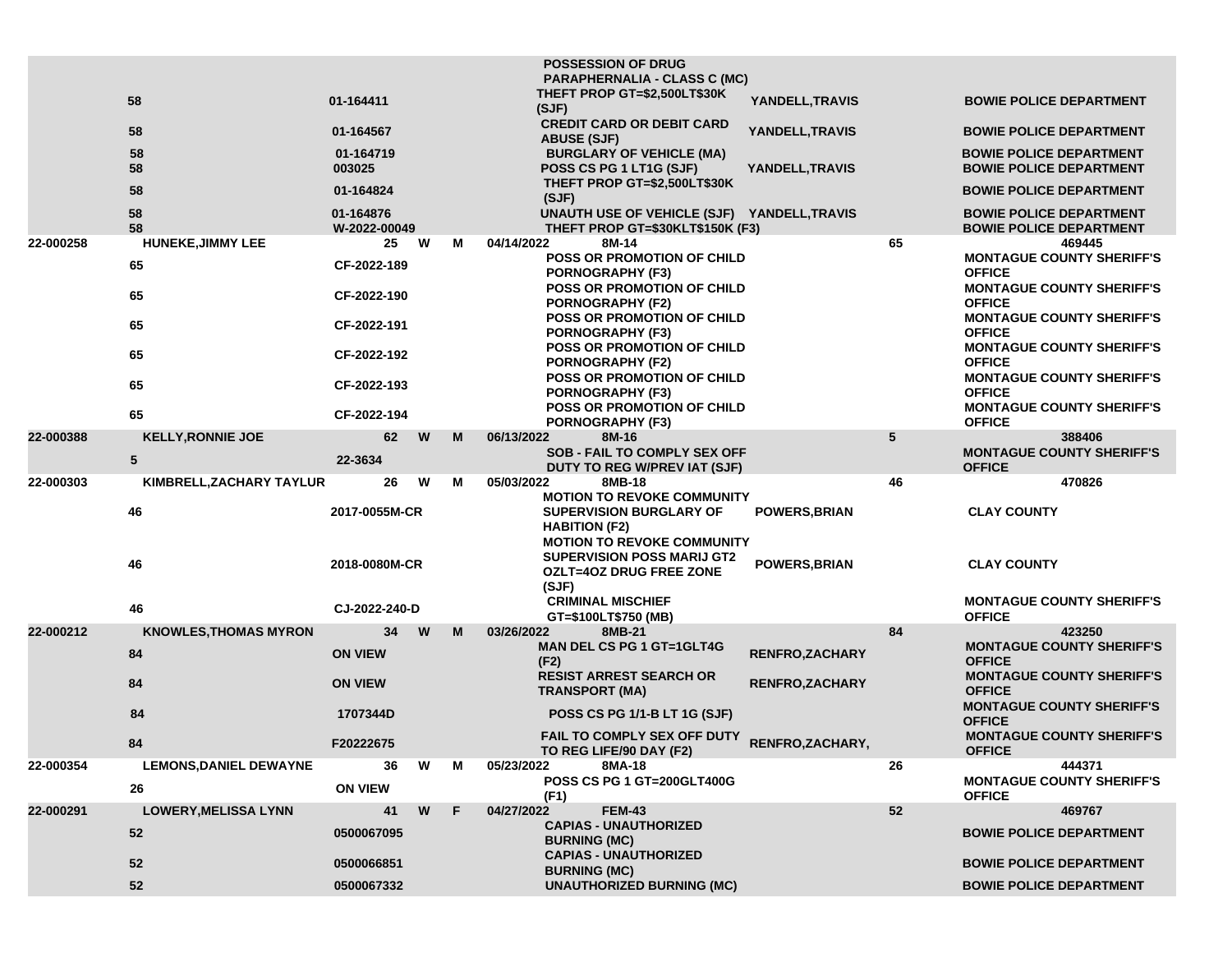|           |                               |                           |   |    | <b>POSSESSION OF DRUG</b><br><b>PARAPHERNALIA - CLASS C (MC)</b>                                                                 |                        |                 |                                                                  |
|-----------|-------------------------------|---------------------------|---|----|----------------------------------------------------------------------------------------------------------------------------------|------------------------|-----------------|------------------------------------------------------------------|
|           | 58                            | 01-164411                 |   |    | THEFT PROP GT=\$2,500LT\$30K<br>(SJF)                                                                                            | YANDELL, TRAVIS        |                 | <b>BOWIE POLICE DEPARTMENT</b>                                   |
|           | 58                            | 01-164567                 |   |    | <b>CREDIT CARD OR DEBIT CARD</b><br><b>ABUSE (SJF)</b>                                                                           | YANDELL, TRAVIS        |                 | <b>BOWIE POLICE DEPARTMENT</b>                                   |
|           | 58                            | 01-164719                 |   |    | <b>BURGLARY OF VEHICLE (MA)</b>                                                                                                  |                        |                 | <b>BOWIE POLICE DEPARTMENT</b>                                   |
|           | 58                            | 003025                    |   |    | POSS CS PG 1 LT1G (SJF)                                                                                                          | YANDELL, TRAVIS        |                 | <b>BOWIE POLICE DEPARTMENT</b>                                   |
|           | 58                            | 01-164824                 |   |    | THEFT PROP GT=\$2,500LT\$30K<br>(SJF)                                                                                            |                        |                 | <b>BOWIE POLICE DEPARTMENT</b>                                   |
|           | 58<br>58                      | 01-164876<br>W-2022-00049 |   |    | UNAUTH USE OF VEHICLE (SJF) YANDELL,TRAVIS<br>THEFT PROP GT=\$30KLT\$150K (F3)                                                   |                        |                 | <b>BOWIE POLICE DEPARTMENT</b><br><b>BOWIE POLICE DEPARTMENT</b> |
| 22-000258 | <b>HUNEKE, JIMMY LEE</b>      | 25                        | W | М  | 04/14/2022<br>8M-14                                                                                                              |                        | 65              | 469445                                                           |
|           | 65                            | CF-2022-189               |   |    | <b>POSS OR PROMOTION OF CHILD</b><br><b>PORNOGRAPHY (F3)</b>                                                                     |                        |                 | <b>MONTAGUE COUNTY SHERIFF'S</b><br><b>OFFICE</b>                |
|           | 65                            | CF-2022-190               |   |    | <b>POSS OR PROMOTION OF CHILD</b><br><b>PORNOGRAPHY (F2)</b>                                                                     |                        |                 | <b>MONTAGUE COUNTY SHERIFF'S</b><br><b>OFFICE</b>                |
|           | 65                            | CF-2022-191               |   |    | <b>POSS OR PROMOTION OF CHILD</b><br><b>PORNOGRAPHY (F3)</b>                                                                     |                        |                 | <b>MONTAGUE COUNTY SHERIFF'S</b><br><b>OFFICE</b>                |
|           | 65                            | CF-2022-192               |   |    | <b>POSS OR PROMOTION OF CHILD</b><br><b>PORNOGRAPHY (F2)</b>                                                                     |                        |                 | <b>MONTAGUE COUNTY SHERIFF'S</b><br><b>OFFICE</b>                |
|           | 65                            | CF-2022-193               |   |    | POSS OR PROMOTION OF CHILD                                                                                                       |                        |                 | <b>MONTAGUE COUNTY SHERIFF'S</b>                                 |
|           |                               |                           |   |    | <b>PORNOGRAPHY (F3)</b>                                                                                                          |                        |                 | <b>OFFICE</b>                                                    |
|           | 65                            | CF-2022-194               |   |    | <b>POSS OR PROMOTION OF CHILD</b><br><b>PORNOGRAPHY (F3)</b>                                                                     |                        |                 | <b>MONTAGUE COUNTY SHERIFF'S</b><br><b>OFFICE</b>                |
| 22-000388 | <b>KELLY, RONNIE JOE</b>      | 62                        | W | M  | 06/13/2022<br>8M-16                                                                                                              |                        | $5\phantom{.0}$ | 388406                                                           |
|           | ${\bf 5}$                     | 22-3634                   |   |    | <b>SOB - FAIL TO COMPLY SEX OFF</b><br><b>DUTY TO REG W/PREV IAT (SJF)</b>                                                       |                        |                 | <b>MONTAGUE COUNTY SHERIFF'S</b><br><b>OFFICE</b>                |
| 22-000303 | KIMBRELL, ZACHARY TAYLUR      | 26                        | W | м  | 05/03/2022<br>8MB-18                                                                                                             |                        | 46              | 470826                                                           |
|           | 46                            | 2017-0055M-CR             |   |    | <b>MOTION TO REVOKE COMMUNITY</b><br><b>SUPERVISION BURGLARY OF</b><br><b>HABITION (F2)</b><br><b>MOTION TO REVOKE COMMUNITY</b> | <b>POWERS, BRIAN</b>   |                 | <b>CLAY COUNTY</b>                                               |
|           | 46                            | 2018-0080M-CR             |   |    | <b>SUPERVISION POSS MARIJ GT2</b><br><b>OZLT=4OZ DRUG FREE ZONE</b><br>(SJF)                                                     | POWERS, BRIAN          |                 | <b>CLAY COUNTY</b>                                               |
|           | 46                            | CJ-2022-240-D             |   |    | <b>CRIMINAL MISCHIEF</b>                                                                                                         |                        |                 | <b>MONTAGUE COUNTY SHERIFF'S</b>                                 |
| 22-000212 |                               |                           |   |    | GT=\$100LT\$750 (MB)                                                                                                             |                        |                 | <b>OFFICE</b>                                                    |
|           | <b>KNOWLES, THOMAS MYRON</b>  | 34                        | W | M  | 03/26/2022<br>8MB-21                                                                                                             |                        | 84              | 423250                                                           |
|           | 84                            | <b>ON VIEW</b>            |   |    | <b>MAN DEL CS PG 1 GT=1GLT4G</b><br>(F2)                                                                                         | <b>RENFRO,ZACHARY</b>  |                 | <b>MONTAGUE COUNTY SHERIFF'S</b><br><b>OFFICE</b>                |
|           | 84                            | <b>ON VIEW</b>            |   |    | <b>RESIST ARREST SEARCH OR</b><br><b>TRANSPORT (MA)</b>                                                                          | <b>RENFRO, ZACHARY</b> |                 | <b>MONTAGUE COUNTY SHERIFF'S</b><br><b>OFFICE</b>                |
|           | 84                            | 1707344D                  |   |    | <b>POSS CS PG 1/1-B LT 1G (SJF)</b>                                                                                              |                        |                 | <b>MONTAGUE COUNTY SHERIFF'S</b><br><b>OFFICE</b>                |
|           | 84                            | F20222675                 |   |    | FAIL TO COMPLY SEX OFF DUTY<br>TO REG LIFE/90 DAY (F2)                                                                           | RENFRO, ZACHARY,       |                 | <b>MONTAGUE COUNTY SHERIFF'S</b><br><b>OFFICE</b>                |
| 22-000354 | <b>LEMONS, DANIEL DEWAYNE</b> | 36                        | W | М  | 8MA-18<br>05/23/2022                                                                                                             |                        | 26              | 444371                                                           |
|           | 26                            | <b>ON VIEW</b>            |   |    | POSS CS PG 1 GT=200GLT400G                                                                                                       |                        |                 | <b>MONTAGUE COUNTY SHERIFF'S</b>                                 |
| 22-000291 | <b>LOWERY, MELISSA LYNN</b>   | 41                        | W | F. | (F1)<br>04/27/2022<br><b>FEM-43</b>                                                                                              |                        | 52              | <b>OFFICE</b><br>469767                                          |
|           | 52                            | 0500067095                |   |    | <b>CAPIAS - UNAUTHORIZED</b><br><b>BURNING (MC)</b>                                                                              |                        |                 | <b>BOWIE POLICE DEPARTMENT</b>                                   |
|           | 52                            | 0500066851                |   |    | <b>CAPIAS - UNAUTHORIZED</b><br><b>BURNING (MC)</b>                                                                              |                        |                 | <b>BOWIE POLICE DEPARTMENT</b>                                   |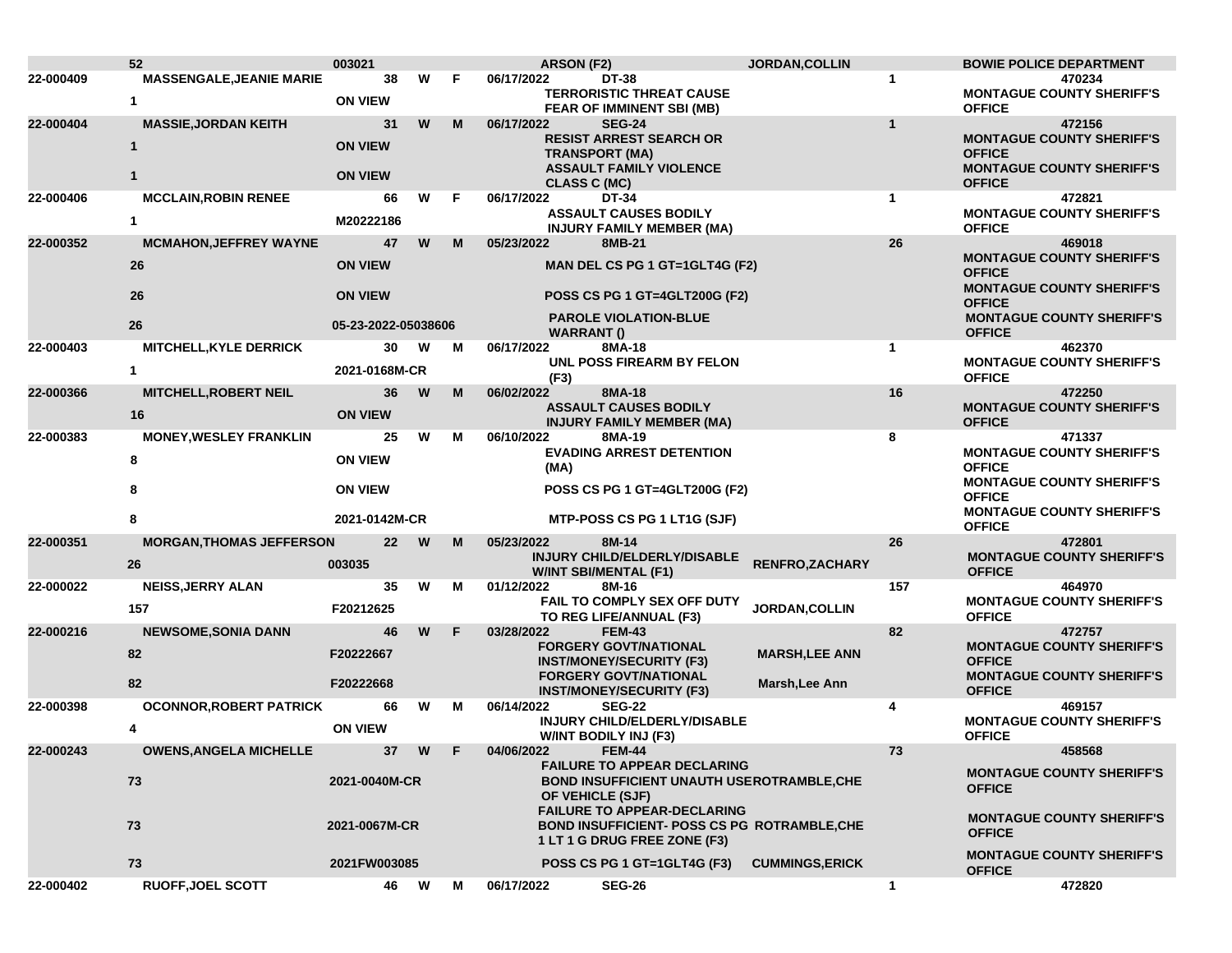|           | 52                              | 003021              |        |   | ARSON (F2)                                                       | JORDAN, COLLIN         |              | <b>BOWIE POLICE DEPARTMENT</b>                    |
|-----------|---------------------------------|---------------------|--------|---|------------------------------------------------------------------|------------------------|--------------|---------------------------------------------------|
| 22-000409 | <b>MASSENGALE, JEANIE MARIE</b> | 38                  | W      | F | 06/17/2022<br><b>DT-38</b>                                       |                        | 1            | 470234                                            |
|           | 1                               | <b>ON VIEW</b>      |        |   | <b>TERRORISTIC THREAT CAUSE</b><br>FEAR OF IMMINENT SBI (MB)     |                        |              | <b>MONTAGUE COUNTY SHERIFF'S</b><br><b>OFFICE</b> |
| 22-000404 | <b>MASSIE, JORDAN KEITH</b>     | 31                  | W      | M | 06/17/2022<br><b>SEG-24</b>                                      |                        | $\mathbf{1}$ | 472156                                            |
|           |                                 | <b>ON VIEW</b>      |        |   | <b>RESIST ARREST SEARCH OR</b>                                   |                        |              | <b>MONTAGUE COUNTY SHERIFF'S</b>                  |
|           |                                 |                     |        |   | <b>TRANSPORT (MA)</b>                                            |                        |              | <b>OFFICE</b>                                     |
|           | 1                               | <b>ON VIEW</b>      |        |   | <b>ASSAULT FAMILY VIOLENCE</b><br><b>CLASS C (MC)</b>            |                        |              | <b>MONTAGUE COUNTY SHERIFF'S</b><br><b>OFFICE</b> |
| 22-000406 | <b>MCCLAIN, ROBIN RENEE</b>     | 66                  | w      | F | 06/17/2022<br>DT-34                                              |                        | 1            | 472821                                            |
|           | $\mathbf{1}$                    | M20222186           |        |   | <b>ASSAULT CAUSES BODILY</b><br><b>INJURY FAMILY MEMBER (MA)</b> |                        |              | <b>MONTAGUE COUNTY SHERIFF'S</b><br><b>OFFICE</b> |
| 22-000352 | <b>MCMAHON, JEFFREY WAYNE</b>   | 47                  | W      | M | 05/23/2022<br>8MB-21                                             |                        | 26           | 469018                                            |
|           | 26                              | <b>ON VIEW</b>      |        |   | MAN DEL CS PG 1 GT=1GLT4G (F2)                                   |                        |              | <b>MONTAGUE COUNTY SHERIFF'S</b>                  |
|           |                                 |                     |        |   |                                                                  |                        |              | <b>OFFICE</b><br><b>MONTAGUE COUNTY SHERIFF'S</b> |
|           | 26                              | <b>ON VIEW</b>      |        |   | <b>POSS CS PG 1 GT=4GLT200G (F2)</b>                             |                        |              | <b>OFFICE</b>                                     |
|           | 26                              | 05-23-2022-05038606 |        |   | <b>PAROLE VIOLATION-BLUE</b><br><b>WARRANT()</b>                 |                        |              | <b>MONTAGUE COUNTY SHERIFF'S</b><br><b>OFFICE</b> |
| 22-000403 | MITCHELL, KYLE DERRICK          | 30                  | W      | M | 06/17/2022<br>8MA-18                                             |                        | $\mathbf{1}$ | 462370                                            |
|           | 1                               | 2021-0168M-CR       |        |   | UNL POSS FIREARM BY FELON<br>(F3)                                |                        |              | <b>MONTAGUE COUNTY SHERIFF'S</b><br><b>OFFICE</b> |
| 22-000366 | <b>MITCHELL, ROBERT NEIL</b>    | 36                  | W      | M | 06/02/2022<br>8MA-18                                             |                        | 16           | 472250                                            |
|           | 16                              | <b>ON VIEW</b>      |        |   | <b>ASSAULT CAUSES BODILY</b>                                     |                        |              | <b>MONTAGUE COUNTY SHERIFF'S</b>                  |
|           |                                 |                     |        |   | <b>INJURY FAMILY MEMBER (MA)</b>                                 |                        |              | <b>OFFICE</b>                                     |
| 22-000383 | <b>MONEY, WESLEY FRANKLIN</b>   | 25                  | W      | м | 06/10/2022<br>8MA-19<br><b>EVADING ARREST DETENTION</b>          |                        | 8            | 471337<br><b>MONTAGUE COUNTY SHERIFF'S</b>        |
|           | 8                               | <b>ON VIEW</b>      |        |   | (MA)                                                             |                        |              | <b>OFFICE</b>                                     |
|           | 8                               | <b>ON VIEW</b>      |        |   | POSS CS PG 1 GT=4GLT200G (F2)                                    |                        |              | <b>MONTAGUE COUNTY SHERIFF'S</b>                  |
|           |                                 |                     |        |   |                                                                  |                        |              | <b>OFFICE</b>                                     |
|           | 8                               | 2021-0142M-CR       |        |   | MTP-POSS CS PG 1 LT1G (SJF)                                      |                        |              | <b>MONTAGUE COUNTY SHERIFF'S</b><br><b>OFFICE</b> |
| 22-000351 | <b>MORGAN, THOMAS JEFFERSON</b> | $22 \overline{ }$   | W      | M | 05/23/2022<br>8M-14                                              |                        | 26           | 472801                                            |
|           | 26                              | 003035              |        |   | <b>INJURY CHILD/ELDERLY/DISABLE</b>                              | RENFRO, ZACHARY        |              | <b>MONTAGUE COUNTY SHERIFF'S</b>                  |
| 22-000022 | <b>NEISS, JERRY ALAN</b>        | 35                  | W      | М | <b>W/INT SBI/MENTAL (F1)</b><br>01/12/2022<br>8M-16              |                        | 157          | <b>OFFICE</b><br>464970                           |
|           |                                 |                     |        |   | FAIL TO COMPLY SEX OFF DUTY                                      |                        |              | <b>MONTAGUE COUNTY SHERIFF'S</b>                  |
|           | 157                             | F20212625           |        |   | TO REG LIFE/ANNUAL (F3)                                          | <b>JORDAN, COLLIN</b>  |              | <b>OFFICE</b>                                     |
| 22-000216 | <b>NEWSOME, SONIA DANN</b>      | 46                  | W      | F | 03/28/2022<br><b>FEM-43</b>                                      |                        | 82           | 472757                                            |
|           | 82                              | F20222667           |        |   | <b>FORGERY GOVT/NATIONAL</b><br><b>INST/MONEY/SECURITY (F3)</b>  | <b>MARSH, LEE ANN</b>  |              | <b>MONTAGUE COUNTY SHERIFF'S</b><br><b>OFFICE</b> |
|           |                                 |                     |        |   | <b>FORGERY GOVT/NATIONAL</b>                                     |                        |              | <b>MONTAGUE COUNTY SHERIFF'S</b>                  |
|           | 82                              | F20222668           |        |   | <b>INST/MONEY/SECURITY (F3)</b>                                  | Marsh, Lee Ann         |              | <b>OFFICE</b>                                     |
| 22-000398 | <b>OCONNOR, ROBERT PATRICK</b>  | 66                  | W      | м | <b>SEG-22</b><br>06/14/2022                                      |                        | 4            | 469157                                            |
|           |                                 | <b>ON VIEW</b>      |        |   | <b>INJURY CHILD/ELDERLY/DISABLE</b><br>W/INT BODILY INJ (F3)     |                        |              | <b>MONTAGUE COUNTY SHERIFF'S</b><br><b>OFFICE</b> |
| 22-000243 | <b>OWENS, ANGELA MICHELLE</b>   |                     | 37 W F |   | 04/06/2022<br><b>FEM-44</b>                                      |                        | 73           | 458568                                            |
|           |                                 |                     |        |   | <b>FAILURE TO APPEAR DECLARING</b>                               |                        |              | <b>MONTAGUE COUNTY SHERIFF'S</b>                  |
|           | 73                              | 2021-0040M-CR       |        |   | <b>BOND INSUFFICIENT UNAUTH USEROTRAMBLE, CHE</b>                |                        |              | <b>OFFICE</b>                                     |
|           |                                 |                     |        |   | OF VEHICLE (SJF)<br><b>FAILURE TO APPEAR-DECLARING</b>           |                        |              |                                                   |
|           | 73                              | 2021-0067M-CR       |        |   | <b>BOND INSUFFICIENT- POSS CS PG ROTRAMBLE, CHE</b>              |                        |              | <b>MONTAGUE COUNTY SHERIFF'S</b>                  |
|           |                                 |                     |        |   | 1 LT 1 G DRUG FREE ZONE (F3)                                     |                        |              | <b>OFFICE</b>                                     |
|           | 73                              | 2021FW003085        |        |   | POSS CS PG 1 GT=1GLT4G (F3)                                      | <b>CUMMINGS, ERICK</b> |              | <b>MONTAGUE COUNTY SHERIFF'S</b><br><b>OFFICE</b> |
| 22-000402 | <b>RUOFF.JOEL SCOTT</b>         | 46 W                |        | М | 06/17/2022<br><b>SEG-26</b>                                      |                        | $\mathbf{1}$ | 472820                                            |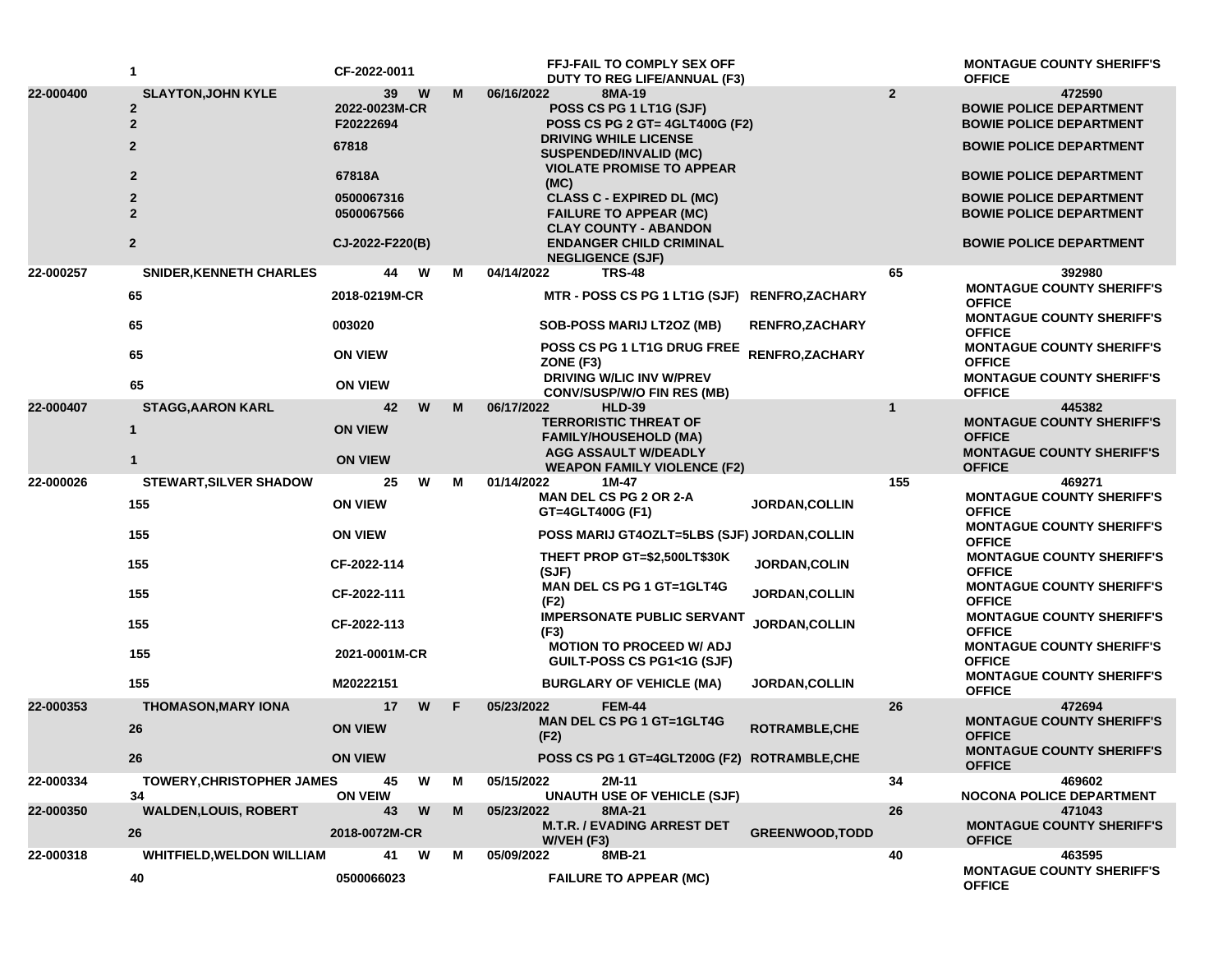|           | 1                                                               | CF-2022-0011                     |   |    | FFJ-FAIL TO COMPLY SEX OFF<br>DUTY TO REG LIFE/ANNUAL (F3)                                        |                        |                | <b>MONTAGUE COUNTY SHERIFF'S</b><br><b>OFFICE</b>                          |
|-----------|-----------------------------------------------------------------|----------------------------------|---|----|---------------------------------------------------------------------------------------------------|------------------------|----------------|----------------------------------------------------------------------------|
| 22-000400 | <b>SLAYTON, JOHN KYLE</b><br>$\overline{2}$<br>$\boldsymbol{2}$ | 39<br>2022-0023M-CR<br>F20222694 | W | M  | 06/16/2022<br>8MA-19<br>POSS CS PG 1 LT1G (SJF)<br>POSS CS PG 2 GT= 4GLT400G (F2)                 |                        | $\overline{2}$ | 472590<br><b>BOWIE POLICE DEPARTMENT</b><br><b>BOWIE POLICE DEPARTMENT</b> |
|           | $\mathbf{2}$                                                    | 67818                            |   |    | <b>DRIVING WHILE LICENSE</b><br><b>SUSPENDED/INVALID (MC)</b>                                     |                        |                | <b>BOWIE POLICE DEPARTMENT</b>                                             |
|           | $\mathbf{2}$                                                    | 67818A                           |   |    | <b>VIOLATE PROMISE TO APPEAR</b><br>(MC)                                                          |                        |                | <b>BOWIE POLICE DEPARTMENT</b>                                             |
|           | $\overline{2}$                                                  | 0500067316<br>0500067566         |   |    | <b>CLASS C - EXPIRED DL (MC)</b><br><b>FAILURE TO APPEAR (MC)</b><br><b>CLAY COUNTY - ABANDON</b> |                        |                | <b>BOWIE POLICE DEPARTMENT</b><br><b>BOWIE POLICE DEPARTMENT</b>           |
|           | $\overline{2}$                                                  | CJ-2022-F220(B)                  |   |    | <b>ENDANGER CHILD CRIMINAL</b><br><b>NEGLIGENCE (SJF)</b>                                         |                        |                | <b>BOWIE POLICE DEPARTMENT</b>                                             |
| 22-000257 | <b>SNIDER, KENNETH CHARLES</b>                                  | 44                               | W | м  | 04/14/2022<br><b>TRS-48</b>                                                                       |                        | 65             | 392980<br><b>MONTAGUE COUNTY SHERIFF'S</b>                                 |
|           | 65                                                              | 2018-0219M-CR                    |   |    | MTR - POSS CS PG 1 LT1G (SJF) RENFRO, ZACHARY                                                     |                        |                | <b>OFFICE</b>                                                              |
|           | 65                                                              | 003020                           |   |    | <b>SOB-POSS MARIJ LT2OZ (MB)</b>                                                                  | <b>RENFRO,ZACHARY</b>  |                | <b>MONTAGUE COUNTY SHERIFF'S</b><br><b>OFFICE</b>                          |
|           | 65                                                              | <b>ON VIEW</b>                   |   |    | <b>POSS CS PG 1 LT1G DRUG FREE</b><br>ZONE (F3)                                                   | RENFRO, ZACHARY        |                | <b>MONTAGUE COUNTY SHERIFF'S</b><br><b>OFFICE</b>                          |
|           | 65                                                              | <b>ON VIEW</b>                   |   |    | <b>DRIVING W/LIC INV W/PREV</b><br><b>CONV/SUSP/W/O FIN RES (MB)</b>                              |                        |                | <b>MONTAGUE COUNTY SHERIFF'S</b><br><b>OFFICE</b>                          |
| 22-000407 | <b>STAGG, AARON KARL</b>                                        | 42                               | W | M  | 06/17/2022<br><b>HLD-39</b>                                                                       |                        | $\mathbf{1}$   | 445382                                                                     |
|           | $\mathbf{1}$                                                    | <b>ON VIEW</b>                   |   |    | <b>TERRORISTIC THREAT OF</b><br><b>FAMILY/HOUSEHOLD (MA)</b>                                      |                        |                | <b>MONTAGUE COUNTY SHERIFF'S</b><br><b>OFFICE</b>                          |
|           | $\mathbf{1}$                                                    | <b>ON VIEW</b>                   |   |    | <b>AGG ASSAULT W/DEADLY</b><br><b>WEAPON FAMILY VIOLENCE (F2)</b>                                 |                        |                | <b>MONTAGUE COUNTY SHERIFF'S</b><br><b>OFFICE</b>                          |
| 22-000026 | <b>STEWART, SILVER SHADOW</b>                                   | 25                               | W | м  | 01/14/2022<br>1M-47                                                                               |                        | 155            | 469271                                                                     |
|           | 155                                                             | <b>ON VIEW</b>                   |   |    | <b>MAN DEL CS PG 2 OR 2-A</b><br>GT=4GLT400G (F1)                                                 | <b>JORDAN, COLLIN</b>  |                | <b>MONTAGUE COUNTY SHERIFF'S</b><br><b>OFFICE</b>                          |
|           | 155                                                             | <b>ON VIEW</b>                   |   |    | <b>POSS MARIJ GT4OZLT=5LBS (SJF) JORDAN,COLLIN</b>                                                |                        |                | <b>MONTAGUE COUNTY SHERIFF'S</b><br><b>OFFICE</b>                          |
|           | 155                                                             | CF-2022-114                      |   |    | THEFT PROP GT=\$2,500LT\$30K<br>(SJF)                                                             | JORDAN, COLIN          |                | <b>MONTAGUE COUNTY SHERIFF'S</b><br><b>OFFICE</b>                          |
|           | 155                                                             | CF-2022-111                      |   |    | <b>MAN DEL CS PG 1 GT=1GLT4G</b><br>(F2)                                                          | <b>JORDAN, COLLIN</b>  |                | <b>MONTAGUE COUNTY SHERIFF'S</b><br><b>OFFICE</b>                          |
|           | 155                                                             | CF-2022-113                      |   |    | <b>IMPERSONATE PUBLIC SERVANT</b><br>(F3)                                                         | <b>JORDAN, COLLIN</b>  |                | <b>MONTAGUE COUNTY SHERIFF'S</b><br><b>OFFICE</b>                          |
|           | 155                                                             | 2021-0001M-CR                    |   |    | <b>MOTION TO PROCEED W/ ADJ</b><br>GUILT-POSS CS PG1<1G (SJF)                                     |                        |                | <b>MONTAGUE COUNTY SHERIFF'S</b><br><b>OFFICE</b>                          |
|           | 155                                                             | M20222151                        |   |    | <b>BURGLARY OF VEHICLE (MA)</b>                                                                   | <b>JORDAN, COLLIN</b>  |                | <b>MONTAGUE COUNTY SHERIFF'S</b><br><b>OFFICE</b>                          |
| 22-000353 | <b>THOMASON, MARY IONA</b>                                      | 17                               | W | F. | 05/23/2022<br><b>FEM-44</b>                                                                       |                        | 26             | 472694                                                                     |
|           | 26                                                              | <b>ON VIEW</b>                   |   |    | <b>MAN DEL CS PG 1 GT=1GLT4G</b><br>(F2)                                                          | ROTRAMBLE, CHE         |                | <b>MONTAGUE COUNTY SHERIFF'S</b><br><b>OFFICE</b>                          |
|           | 26                                                              | <b>ON VIEW</b>                   |   |    | POSS CS PG 1 GT=4GLT200G (F2) ROTRAMBLE, CHE                                                      |                        |                | <b>MONTAGUE COUNTY SHERIFF'S</b><br><b>OFFICE</b>                          |
| 22-000334 | <b>TOWERY, CHRISTOPHER JAMES</b><br>34                          | 45<br><b>ON VEIW</b>             | W | м  | 05/15/2022<br>2M-11<br><b>UNAUTH USE OF VEHICLE (SJF)</b>                                         |                        | 34             | 469602<br><b>NOCONA POLICE DEPARTMENT</b>                                  |
| 22-000350 | <b>WALDEN, LOUIS, ROBERT</b>                                    | 43                               | W | M  | 05/23/2022<br>8MA-21                                                                              |                        | 26             | 471043                                                                     |
|           | 26                                                              | 2018-0072M-CR                    |   |    | <b>M.T.R. / EVADING ARREST DET</b><br>W/VEH (F3)                                                  | <b>GREENWOOD, TODD</b> |                | <b>MONTAGUE COUNTY SHERIFF'S</b><br><b>OFFICE</b>                          |
| 22-000318 | <b>WHITFIELD, WELDON WILLIAM</b>                                | 41                               | W | м  | 05/09/2022<br>8MB-21                                                                              |                        | 40             | 463595                                                                     |
|           | 40                                                              | 0500066023                       |   |    | <b>FAILURE TO APPEAR (MC)</b>                                                                     |                        |                | <b>MONTAGUE COUNTY SHERIFF'S</b><br><b>OFFICE</b>                          |